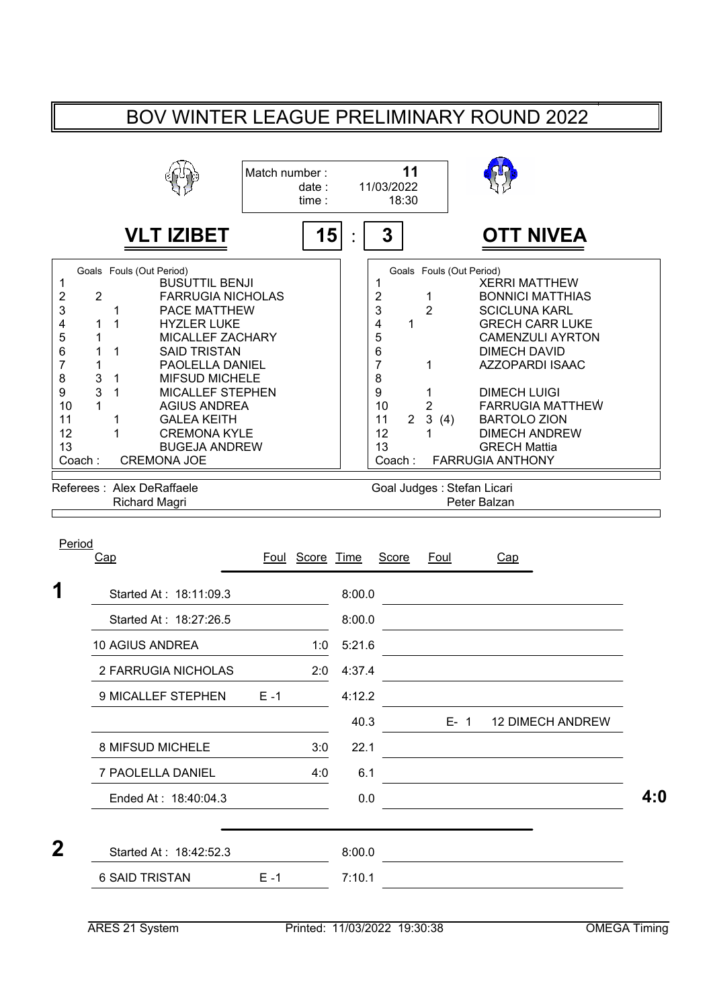## BOV WINTER LEAGUE PRELIMINARY ROUND 2022

|                                                                             |                                                   |                                                                                                                                                                                                                                                                                                                                                                                                   | Match number: | date:<br>time: |        | 11/03/2022<br>18:30                                                                                            | 11                                                                             |                                 |                                                                                                                                                                                                                |                                                                                                         |     |
|-----------------------------------------------------------------------------|---------------------------------------------------|---------------------------------------------------------------------------------------------------------------------------------------------------------------------------------------------------------------------------------------------------------------------------------------------------------------------------------------------------------------------------------------------------|---------------|----------------|--------|----------------------------------------------------------------------------------------------------------------|--------------------------------------------------------------------------------|---------------------------------|----------------------------------------------------------------------------------------------------------------------------------------------------------------------------------------------------------------|---------------------------------------------------------------------------------------------------------|-----|
|                                                                             |                                                   | <b>VLT IZIBET</b>                                                                                                                                                                                                                                                                                                                                                                                 |               | 15             |        | 3                                                                                                              |                                                                                |                                 |                                                                                                                                                                                                                | <b>OTT NIVEA</b>                                                                                        |     |
| 1<br>2<br>3<br>4<br>5<br>6<br>7<br>8<br>9<br>10<br>11<br>12<br>13<br>Coach: | $\overline{2}$<br>1<br>1<br>1<br>1<br>3<br>3<br>1 | Goals Fouls (Out Period)<br><b>BUSUTTIL BENJI</b><br><b>FARRUGIA NICHOLAS</b><br>1<br>PACE MATTHEW<br>1<br><b>HYZLER LUKE</b><br><b>MICALLEF ZACHARY</b><br>1<br><b>SAID TRISTAN</b><br>PAOLELLA DANIEL<br>1<br><b>MIFSUD MICHELE</b><br>1<br><b>MICALLEF STEPHEN</b><br><b>AGIUS ANDREA</b><br><b>GALEA KEITH</b><br>1<br>1<br><b>CREMONA KYLE</b><br><b>BUGEJA ANDREW</b><br><b>CREMONA JOE</b> |               |                |        | 1<br>$\overline{\mathbf{c}}$<br>3<br>4<br>5<br>6<br>$\overline{7}$<br>8<br>9<br>10<br>11<br>12<br>13<br>Coach: | 1<br>$\overline{2}$<br>1<br>1<br>1<br>2<br>$\mathbf{3}$<br>$\overline{2}$<br>1 | Goals Fouls (Out Period)<br>(4) | <b>XERRI MATTHEW</b><br><b>SCICLUNA KARL</b><br><b>DIMECH DAVID</b><br>AZZOPARDI ISAAC<br><b>DIMECH LUIGI</b><br><b>BARTOLO ZION</b><br><b>DIMECH ANDREW</b><br><b>GRECH Mattia</b><br><b>FARRUGIA ANTHONY</b> | <b>BONNICI MATTHIAS</b><br><b>GRECH CARR LUKE</b><br><b>CAMENZULI AYRTON</b><br><b>FARRUGIA MATTHEW</b> |     |
|                                                                             |                                                   | Referees: Alex DeRaffaele<br><b>Richard Magri</b>                                                                                                                                                                                                                                                                                                                                                 |               |                |        |                                                                                                                |                                                                                | Goal Judges : Stefan Licari     | Peter Balzan                                                                                                                                                                                                   |                                                                                                         |     |
| Period                                                                      | Cap                                               |                                                                                                                                                                                                                                                                                                                                                                                                   | Foul          | Score Time     |        | Score                                                                                                          |                                                                                | Foul                            | Cap                                                                                                                                                                                                            |                                                                                                         |     |
| 1                                                                           |                                                   | Started At: 18:11:09.3                                                                                                                                                                                                                                                                                                                                                                            |               |                | 8:00.0 |                                                                                                                |                                                                                |                                 |                                                                                                                                                                                                                |                                                                                                         |     |
|                                                                             |                                                   | Started At: 18:27:26.5                                                                                                                                                                                                                                                                                                                                                                            |               |                | 8:00.0 |                                                                                                                |                                                                                |                                 |                                                                                                                                                                                                                |                                                                                                         |     |
|                                                                             |                                                   | 10 AGIUS ANDREA                                                                                                                                                                                                                                                                                                                                                                                   |               | 1:0            | 5:21.6 |                                                                                                                |                                                                                |                                 |                                                                                                                                                                                                                |                                                                                                         |     |
|                                                                             |                                                   | 2 FARRUGIA NICHOLAS                                                                                                                                                                                                                                                                                                                                                                               |               | 2:0            | 4:37.4 |                                                                                                                |                                                                                |                                 |                                                                                                                                                                                                                |                                                                                                         |     |
|                                                                             |                                                   | 9 MICALLEF STEPHEN                                                                                                                                                                                                                                                                                                                                                                                | $E - 1$       |                | 4:12.2 |                                                                                                                |                                                                                |                                 |                                                                                                                                                                                                                |                                                                                                         |     |
|                                                                             |                                                   |                                                                                                                                                                                                                                                                                                                                                                                                   |               |                | 40.3   |                                                                                                                |                                                                                | $E - 1$                         |                                                                                                                                                                                                                | <b>12 DIMECH ANDREW</b>                                                                                 |     |
|                                                                             |                                                   | 8 MIFSUD MICHELE                                                                                                                                                                                                                                                                                                                                                                                  |               | 3:0            | 22.1   |                                                                                                                |                                                                                |                                 |                                                                                                                                                                                                                |                                                                                                         |     |
|                                                                             |                                                   | 7 PAOLELLA DANIEL                                                                                                                                                                                                                                                                                                                                                                                 |               | 4:0            | 6.1    |                                                                                                                |                                                                                |                                 |                                                                                                                                                                                                                |                                                                                                         |     |
|                                                                             |                                                   | Ended At: 18:40:04.3                                                                                                                                                                                                                                                                                                                                                                              |               |                | 0.0    |                                                                                                                |                                                                                |                                 |                                                                                                                                                                                                                |                                                                                                         | 4:0 |

| Λ<br>◢ | Started At: 18:42:52.3 |      | 8:00.0 |  |
|--------|------------------------|------|--------|--|
|        | <b>6 SAID TRISTAN</b>  | F .1 | 7:10.1 |  |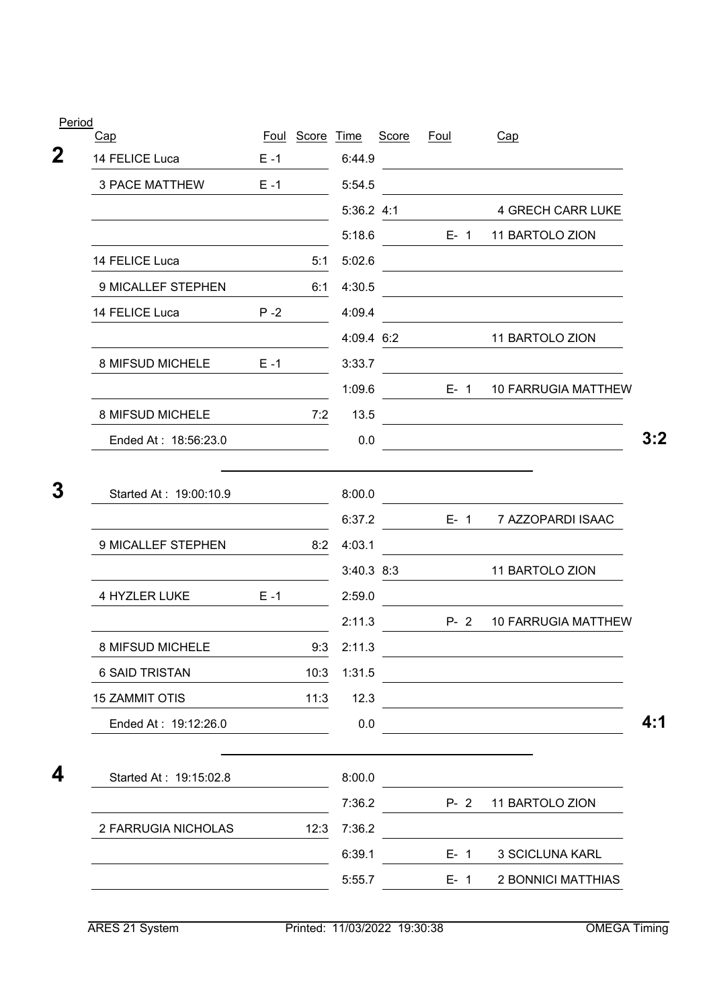| Period                 |         |            |                  |       |             |                                                                            |
|------------------------|---------|------------|------------------|-------|-------------|----------------------------------------------------------------------------|
| <u>Cap</u>             | Foul    | Score Time |                  | Score | <u>Foul</u> | Cap                                                                        |
| 14 FELICE Luca         | $E - 1$ |            | 6:44.9           |       |             |                                                                            |
| <b>3 PACE MATTHEW</b>  | $E - 1$ |            | 5:54.5           |       |             |                                                                            |
|                        |         |            | 5:36.2 4:1       |       |             | <b>4 GRECH CARR LUKE</b>                                                   |
|                        |         |            | 5:18.6           |       | $E - 1$     | 11 BARTOLO ZION                                                            |
| 14 FELICE Luca         |         | 5:1        | 5:02.6           |       |             |                                                                            |
| 9 MICALLEF STEPHEN     |         | 6:1        | 4:30.5           |       |             |                                                                            |
| 14 FELICE Luca         | $P - 2$ |            | 4:09.4           |       |             |                                                                            |
|                        |         |            | 4:09.4 6:2       |       |             | 11 BARTOLO ZION                                                            |
| 8 MIFSUD MICHELE       | $E - 1$ |            | 3:33.7           |       |             |                                                                            |
|                        |         |            | 1:09.6           |       | $E - 1$     | <b>10 FARRUGIA MATTHEW</b>                                                 |
| 8 MIFSUD MICHELE       |         | 7:2        | 13.5             |       |             |                                                                            |
| Ended At: 18:56:23.0   |         |            | 0.0              |       |             |                                                                            |
| 9 MICALLEF STEPHEN     |         | 8:2        | 6:37.2<br>4:03.1 |       | $E - 1$     | 7 AZZOPARDI ISAAC                                                          |
|                        |         |            | $3:40.3$ $8:3$   |       |             | 11 BARTOLO ZION                                                            |
| 4 HYZLER LUKE          | $E - 1$ |            | 2:59.0           |       |             |                                                                            |
|                        |         |            | 2:11.3           |       | $P - 2$     | <b>10 FARRUGIA MATTHEW</b>                                                 |
| 8 MIFSUD MICHELE       |         | 9:3        | 2:11.3           |       |             |                                                                            |
| <b>6 SAID TRISTAN</b>  |         | 10:3       | 1:31.5           |       |             |                                                                            |
| <b>15 ZAMMIT OTIS</b>  |         | 11:3       | 12.3             |       |             | the control of the control of the control of the control of the control of |
| Ended At: 19:12:26.0   |         |            | 0.0              |       |             |                                                                            |
|                        |         |            |                  |       |             |                                                                            |
| Started At: 19:15:02.8 |         |            | 8:00.0           |       |             |                                                                            |
|                        |         |            | 7:36.2           |       | $P - 2$     | 11 BARTOLO ZION                                                            |
| 2 FARRUGIA NICHOLAS    |         | 12:3       | 7:36.2           |       |             |                                                                            |
|                        |         |            | 6:39.1           |       | $E - 1$     | 3 SCICLUNA KARL                                                            |
|                        |         |            | 5:55.7           |       | $E - 1$     | 2 BONNICI MATTHIAS                                                         |